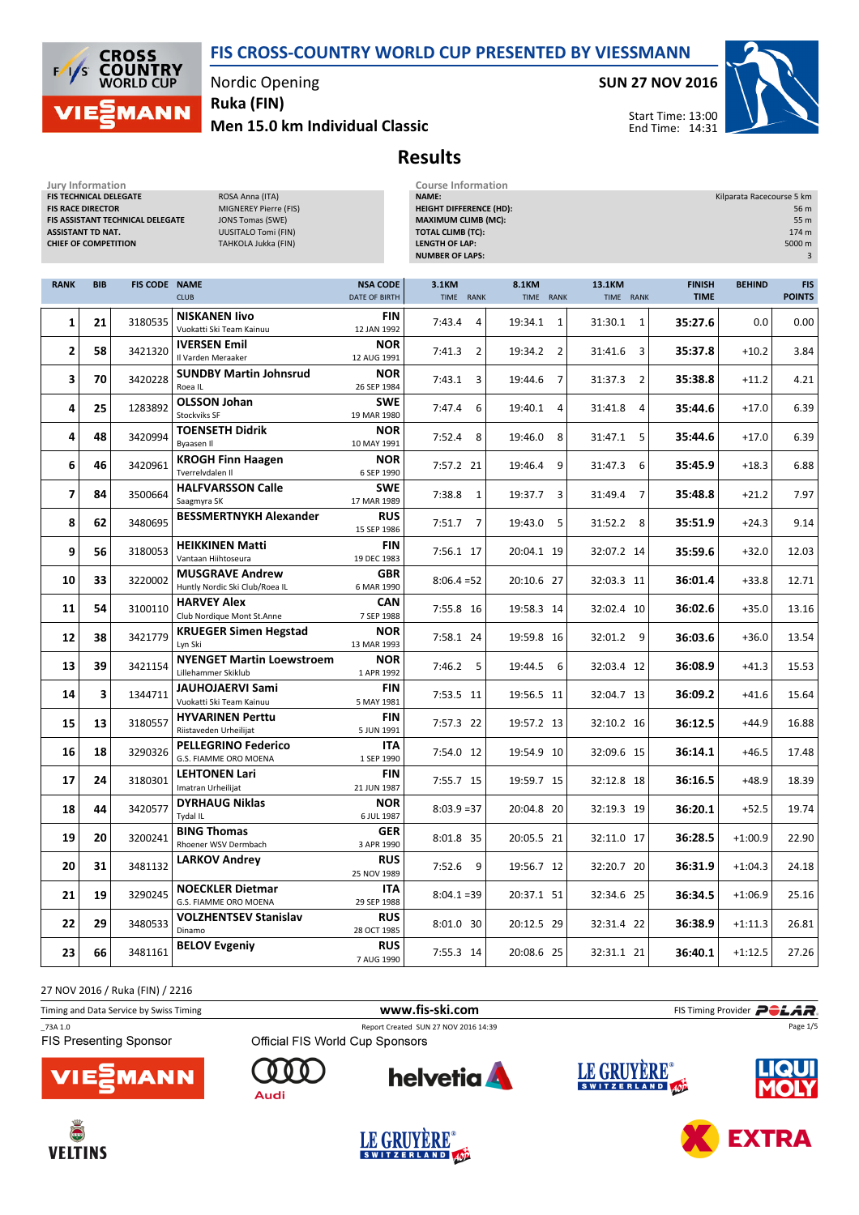

Nordic Opening

Men 15.0 km Individual Classic Ruka (FIN)

SUN 27 NOV 2016



Start Time: 13:00 End Time: 14:31

Results

| Jury Information<br>FIS TECHNICAL DELEGATE<br>ROSA Anna (ITA)<br><b>FIS RACE DIRECTOR</b><br>MIGNEREY Pierre (FIS)<br>FIS ASSISTANT TECHNICAL DELEGATE<br><b>JONS Tomas (SWE)</b><br><b>UUSITALO Tomi (FIN)</b><br><b>ASSISTANT TD NAT.</b><br><b>CHIEF OF COMPETITION</b><br>TAHKOLA Jukka (FIN) |            |                      |                                                          |                                  | <b>Course Information</b><br>NAME:<br>Kilparata Racecourse 5 km<br><b>HEIGHT DIFFERENCE (HD):</b><br>56 m<br><b>MAXIMUM CLIMB (MC):</b><br>55 m<br><b>TOTAL CLIMB (TC):</b><br>174 m<br><b>LENGTH OF LAP:</b><br>5000 m<br><b>NUMBER OF LAPS:</b> |                           |                     |                              |               |                             |
|---------------------------------------------------------------------------------------------------------------------------------------------------------------------------------------------------------------------------------------------------------------------------------------------------|------------|----------------------|----------------------------------------------------------|----------------------------------|---------------------------------------------------------------------------------------------------------------------------------------------------------------------------------------------------------------------------------------------------|---------------------------|---------------------|------------------------------|---------------|-----------------------------|
| <b>RANK</b>                                                                                                                                                                                                                                                                                       | <b>BIB</b> | <b>FIS CODE NAME</b> | <b>CLUB</b>                                              | <b>NSA CODE</b><br>DATE OF BIRTH | 3.1KM<br>TIME RANK                                                                                                                                                                                                                                | 8.1KM<br>TIME RANK        | 13.1KM<br>TIME RANK | <b>FINISH</b><br><b>TIME</b> | <b>BEHIND</b> | <b>FIS</b><br><b>POINTS</b> |
| 1                                                                                                                                                                                                                                                                                                 | 21         | 3180535              | <b>NISKANEN livo</b><br>Vuokatti Ski Team Kainuu         | <b>FIN</b><br>12 JAN 1992        | 7:43.4<br>$\overline{4}$                                                                                                                                                                                                                          | 19:34.1<br>1              | 31:30.1<br>1        | 35:27.6                      | 0.0           | 0.00                        |
| 2                                                                                                                                                                                                                                                                                                 | 58         | 3421320              | <b>IVERSEN Emil</b><br>Il Varden Meraaker                | <b>NOR</b><br>12 AUG 1991        | 2<br>7:41.3                                                                                                                                                                                                                                       | $\overline{2}$<br>19:34.2 | 3<br>31:41.6        | 35:37.8                      | $+10.2$       | 3.84                        |
| 3                                                                                                                                                                                                                                                                                                 | 70         | 3420228              | <b>SUNDBY Martin Johnsrud</b><br>Roea IL                 | <b>NOR</b><br>26 SEP 1984        | 7:43.1<br>3                                                                                                                                                                                                                                       | 19:44.6<br>7              | 31:37.3<br>2        | 35:38.8                      | $+11.2$       | 4.21                        |
| 4                                                                                                                                                                                                                                                                                                 | 25         | 1283892              | <b>OLSSON Johan</b><br><b>Stockviks SF</b>               | <b>SWE</b><br>19 MAR 1980        | 7:47.4<br>6                                                                                                                                                                                                                                       | 19:40.1<br>$\overline{4}$ | 31:41.8<br>4        | 35:44.6                      | $+17.0$       | 6.39                        |
| 4                                                                                                                                                                                                                                                                                                 | 48         | 3420994              | <b>TOENSETH Didrik</b><br>Byaasen II                     | <b>NOR</b><br>10 MAY 1991        | 8<br>7:52.4                                                                                                                                                                                                                                       | 19:46.0<br>8              | 31:47.1<br>-5       | 35:44.6                      | $+17.0$       | 6.39                        |
| 6                                                                                                                                                                                                                                                                                                 | 46         | 3420961              | <b>KROGH Finn Haagen</b><br>Tverrelvdalen II             | <b>NOR</b><br>6 SEP 1990         | 7:57.2 21                                                                                                                                                                                                                                         | 9<br>19:46.4              | 31:47.3<br>6        | 35:45.9                      | $+18.3$       | 6.88                        |
| 7                                                                                                                                                                                                                                                                                                 | 84         | 3500664              | <b>HALFVARSSON Calle</b><br>Saagmyra SK                  | <b>SWE</b><br>17 MAR 1989        | $7:38.8$ 1                                                                                                                                                                                                                                        | 3<br>19:37.7              | 31:49.4<br>7        | 35:48.8                      | $+21.2$       | 7.97                        |
| 8                                                                                                                                                                                                                                                                                                 | 62         | 3480695              | <b>BESSMERTNYKH Alexander</b>                            | <b>RUS</b><br>15 SEP 1986        | 7:51.7<br>7                                                                                                                                                                                                                                       | 19:43.0<br>5              | 31:52.2<br>8        | 35:51.9                      | $+24.3$       | 9.14                        |
| 9                                                                                                                                                                                                                                                                                                 | 56         | 3180053              | <b>HEIKKINEN Matti</b><br>Vantaan Hiihtoseura            | <b>FIN</b><br>19 DEC 1983        | 7:56.1 17                                                                                                                                                                                                                                         | 20:04.1 19                | 32:07.2 14          | 35:59.6                      | $+32.0$       | 12.03                       |
| 10                                                                                                                                                                                                                                                                                                | 33         | 3220002              | <b>MUSGRAVE Andrew</b><br>Huntly Nordic Ski Club/Roea IL | <b>GBR</b><br>6 MAR 1990         | $8:06.4=52$                                                                                                                                                                                                                                       | 20:10.6 27                | 32:03.3 11          | 36:01.4                      | $+33.8$       | 12.71                       |
| 11                                                                                                                                                                                                                                                                                                | 54         | 3100110              | <b>HARVEY Alex</b><br>Club Nordique Mont St.Anne         | CAN<br>7 SEP 1988                | 7:55.8 16                                                                                                                                                                                                                                         | 19:58.3 14                | 32:02.4 10          | 36:02.6                      | $+35.0$       | 13.16                       |
| 12                                                                                                                                                                                                                                                                                                | 38         | 3421779              | <b>KRUEGER Simen Hegstad</b><br>Lyn Ski                  | <b>NOR</b><br>13 MAR 1993        | 7:58.1 24                                                                                                                                                                                                                                         | 19:59.8 16                | 32:01.2<br>9        | 36:03.6                      | $+36.0$       | 13.54                       |
| 13                                                                                                                                                                                                                                                                                                | 39         | 3421154              | <b>NYENGET Martin Loewstroem</b><br>Lillehammer Skiklub  | <b>NOR</b><br>1 APR 1992         | $7:46.2$ 5                                                                                                                                                                                                                                        | 19:44.5<br>6              | 32:03.4 12          | 36:08.9                      | $+41.3$       | 15.53                       |
| 14                                                                                                                                                                                                                                                                                                | 3          | 1344711              | <b>JAUHOJAERVI Sami</b><br>Vuokatti Ski Team Kainuu      | <b>FIN</b><br>5 MAY 1981         | 7:53.5 11                                                                                                                                                                                                                                         | 19:56.5 11                | 32:04.7 13          | 36:09.2                      | $+41.6$       | 15.64                       |
| 15                                                                                                                                                                                                                                                                                                | 13         | 3180557              | <b>HYVARINEN Perttu</b><br>Riistaveden Urheilijat        | <b>FIN</b><br>5 JUN 1991         | 7:57.3 22                                                                                                                                                                                                                                         | 19:57.2 13                | 32:10.2 16          | 36:12.5                      | $+44.9$       | 16.88                       |
| 16                                                                                                                                                                                                                                                                                                | 18         | 3290326              | <b>PELLEGRINO Federico</b><br>G.S. FIAMME ORO MOENA      | <b>ITA</b><br>1 SEP 1990         | 7:54.0 12                                                                                                                                                                                                                                         | 19:54.9 10                | 32:09.6 15          | 36:14.1                      | $+46.5$       | 17.48                       |
| 17                                                                                                                                                                                                                                                                                                | 24         | 3180301              | <b>LEHTONEN Lari</b><br>Imatran Urheilijat               | FIN<br>21 JUN 1987               | 7:55.7 15                                                                                                                                                                                                                                         | 19:59.7 15                | 32:12.8 18          | 36:16.5                      | $+48.9$       | 18.39                       |
| 18                                                                                                                                                                                                                                                                                                | 44         | 3420577              | <b>DYRHAUG Niklas</b><br>Tydal IL                        | <b>NOR</b><br>6 JUL 1987         | $8:03.9 = 37$                                                                                                                                                                                                                                     | 20:04.8 20                | 32:19.3 19          | 36:20.1                      | $+52.5$       | 19.74                       |
| 19                                                                                                                                                                                                                                                                                                | 20         | 3200241              | <b>BING Thomas</b><br>Rhoener WSV Dermbach               | <b>GER</b><br>3 APR 1990         | 8:01.8 35                                                                                                                                                                                                                                         | 20:05.5 21                | 32:11.0 17          | 36:28.5                      | $+1:00.9$     | 22.90                       |
| 20                                                                                                                                                                                                                                                                                                | 31         | 3481132              | LARKOV Andrey                                            | <b>RUS</b><br>25 NOV 1989        | 7:52.6 9                                                                                                                                                                                                                                          | 19:56.7 12                | 32:20.7 20          | 36:31.9                      | $+1:04.3$     | 24.18                       |
| 21                                                                                                                                                                                                                                                                                                | 19         | 3290245              | <b>NOECKLER Dietmar</b><br>G.S. FIAMME ORO MOENA         | <b>ITA</b><br>29 SEP 1988        | $8:04.1 = 39$                                                                                                                                                                                                                                     | 20:37.1 51                | 32:34.6 25          | 36:34.5                      | $+1:06.9$     | 25.16                       |
| 22                                                                                                                                                                                                                                                                                                | 29         | 3480533              | VOLZHENTSEV Stanislav<br>Dinamo                          | <b>RUS</b><br>28 OCT 1985        | 8:01.0 30                                                                                                                                                                                                                                         | 20:12.5 29                | 32:31.4 22          | 36:38.9                      | $+1:11.3$     | 26.81                       |
| 23                                                                                                                                                                                                                                                                                                | 66         | 3481161              | <b>BELOV Evgeniy</b>                                     | <b>RUS</b><br>7 AUG 1990         | 7:55.3 14                                                                                                                                                                                                                                         | 20:08.6 25                | 32:31.1 21          | 36:40.1                      | $+1:12.5$     | 27.26                       |

27 NOV 2016 / Ruka (FIN) / 2216

| Timing and Data Service by Swiss Timing  |                                 | www.fis-ski.com                      | FIS Timing Provider <b>POLAR</b> . |                             |  |  |
|------------------------------------------|---------------------------------|--------------------------------------|------------------------------------|-----------------------------|--|--|
| 73A 1.0<br><b>FIS Presenting Sponsor</b> | Official FIS World Cup Sponsors | Report Created SUN 27 NOV 2016 14:39 |                                    | Page 1/5                    |  |  |
| <b>VIESMANN</b>                          | $000$<br>Audi                   | <b>helvetia</b>                      | LE GRUYÈRE®                        | <b>LIQUI</b><br><b>MOLY</b> |  |  |







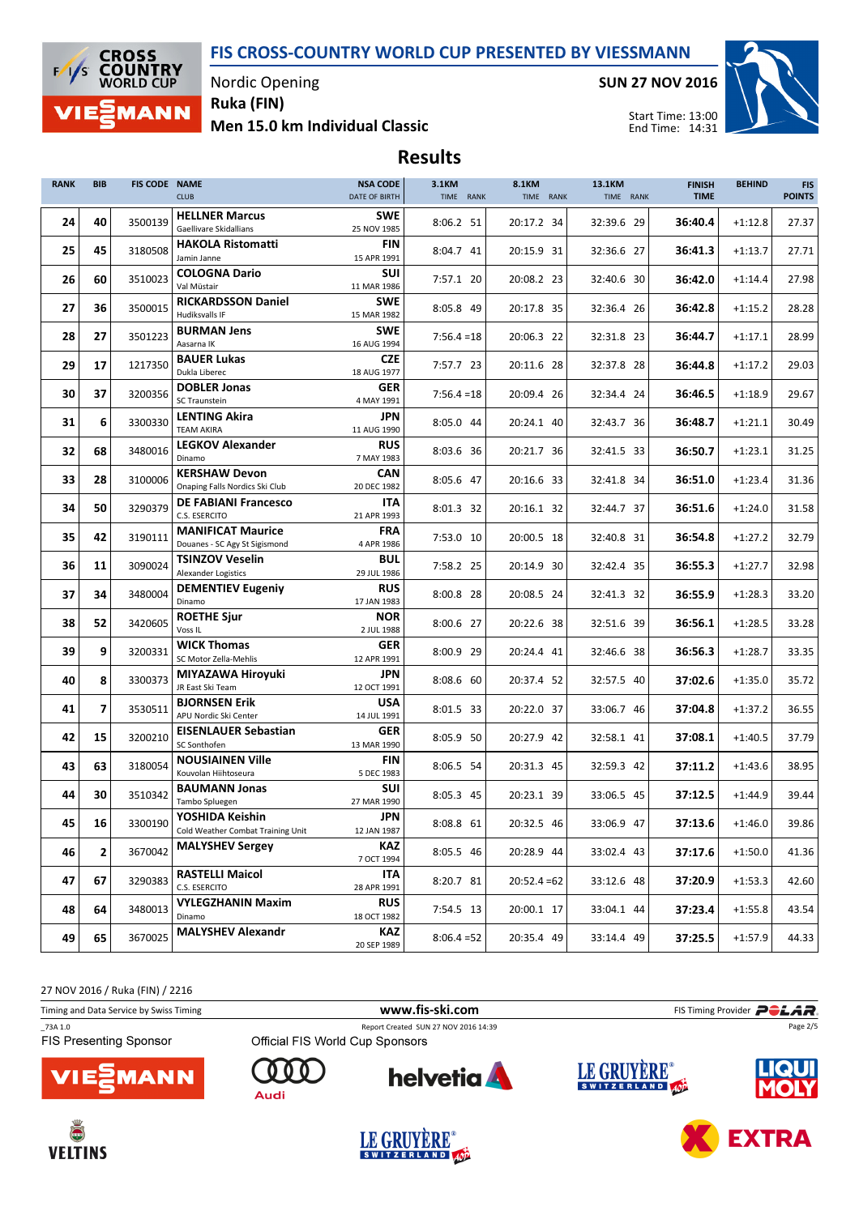

Nordic Opening Ruka (FIN)

Men 15.0 km Individual Classic

SUN 27 NOV 2016



Start Time: 13:00 End Time: 14:31

## Results

| <b>RANK</b> | <b>BIB</b> | FIS CODE NAME | <b>CLUB</b>                                               | <b>NSA CODE</b><br>DATE OF BIRTH | 3.1KM<br>TIME RANK | 8.1KM<br>TIME RANK | 13.1KM<br>TIME RANK | <b>FINISH</b><br><b>TIME</b> | <b>BEHIND</b> | <b>FIS</b><br><b>POINTS</b> |
|-------------|------------|---------------|-----------------------------------------------------------|----------------------------------|--------------------|--------------------|---------------------|------------------------------|---------------|-----------------------------|
| 24          | 40         | 3500139       | <b>HELLNER Marcus</b><br>Gaellivare Skidallians           | <b>SWE</b><br>25 NOV 1985        | 8:06.2 51          | 20:17.2 34         | 32:39.6 29          | 36:40.4                      | $+1:12.8$     | 27.37                       |
| 25          | 45         | 3180508       | <b>HAKOLA Ristomatti</b><br>Jamin Janne                   | <b>FIN</b><br>15 APR 1991        | 8:04.7 41          | 20:15.9 31         | 32:36.6 27          | 36:41.3                      | $+1:13.7$     | 27.71                       |
| 26          | 60         | 3510023       | <b>COLOGNA Dario</b><br>Val Müstair                       | <b>SUI</b><br>11 MAR 1986        | 7:57.1 20          | 20:08.2 23         | 32:40.6 30          | 36:42.0                      | $+1:14.4$     | 27.98                       |
| 27          | 36         | 3500015       | <b>RICKARDSSON Daniel</b><br>Hudiksvalls IF               | <b>SWE</b><br>15 MAR 1982        | 8:05.8 49          | 20:17.8 35         | 32:36.4 26          | 36:42.8                      | $+1:15.2$     | 28.28                       |
| 28          | 27         | 3501223       | <b>BURMAN Jens</b><br>Aasarna IK                          | <b>SWE</b><br>16 AUG 1994        | $7:56.4=18$        | 20:06.3 22         | 32:31.8 23          | 36:44.7                      | $+1:17.1$     | 28.99                       |
| 29          | 17         | 1217350       | <b>BAUER Lukas</b><br>Dukla Liberec                       | <b>CZE</b><br>18 AUG 1977        | 7:57.7 23          | 20:11.6 28         | 32:37.8 28          | 36:44.8                      | $+1:17.2$     | 29.03                       |
| 30          | 37         | 3200356       | <b>DOBLER Jonas</b><br><b>SC Traunstein</b>               | <b>GER</b><br>4 MAY 1991         | $7:56.4=18$        | 20:09.4 26         | 32:34.4 24          | 36:46.5                      | $+1:18.9$     | 29.67                       |
| 31          | 6          | 3300330       | <b>LENTING Akira</b><br><b>TEAM AKIRA</b>                 | <b>JPN</b><br>11 AUG 1990        | 8:05.0 44          | 20:24.1 40         | 32:43.7 36          | 36:48.7                      | $+1:21.1$     | 30.49                       |
| 32          | 68         | 3480016       | <b>LEGKOV Alexander</b><br>Dinamo                         | <b>RUS</b><br>7 MAY 1983         | 8:03.6 36          | 20:21.7 36         | 32:41.5 33          | 36:50.7                      | $+1:23.1$     | 31.25                       |
| 33          | 28         | 3100006       | <b>KERSHAW Devon</b><br>Onaping Falls Nordics Ski Club    | <b>CAN</b><br>20 DEC 1982        | 8:05.6 47          | 20:16.6 33         | 32:41.8 34          | 36:51.0                      | $+1:23.4$     | 31.36                       |
| 34          | 50         | 3290379       | <b>DE FABIANI Francesco</b><br>C.S. ESERCITO              | <b>ITA</b><br>21 APR 1993        | 8:01.3 32          | 20:16.1 32         | 32:44.7 37          | 36:51.6                      | $+1:24.0$     | 31.58                       |
| 35          | 42         | 3190111       | <b>MANIFICAT Maurice</b><br>Douanes - SC Agy St Sigismond | <b>FRA</b><br>4 APR 1986         | 7:53.0 10          | 20:00.5 18         | 32:40.8 31          | 36:54.8                      | $+1:27.2$     | 32.79                       |
| 36          | 11         | 3090024       | <b>TSINZOV Veselin</b><br>Alexander Logistics             | <b>BUL</b><br>29 JUL 1986        | 7:58.2 25          | 20:14.9 30         | 32:42.4 35          | 36:55.3                      | $+1:27.7$     | 32.98                       |
| 37          | 34         | 3480004       | <b>DEMENTIEV Eugeniy</b><br>Dinamo                        | <b>RUS</b><br>17 JAN 1983        | 8:00.8 28          | 20:08.5 24         | 32:41.3 32          | 36:55.9                      | $+1:28.3$     | 33.20                       |
| 38          | 52         | 3420605       | <b>ROETHE Sjur</b><br>Voss <sub>IL</sub>                  | <b>NOR</b><br>2 JUL 1988         | 8:00.6 27          | 20:22.6 38         | 32:51.6 39          | 36:56.1                      | $+1:28.5$     | 33.28                       |
| 39          | 9          | 3200331       | <b>WICK Thomas</b><br>SC Motor Zella-Mehlis               | <b>GER</b><br>12 APR 1991        | 8:00.9 29          | 20:24.4 41         | 32:46.6 38          | 36:56.3                      | $+1:28.7$     | 33.35                       |
| 40          | 8          | 3300373       | MIYAZAWA Hiroyuki<br>JR East Ski Team                     | JPN<br>12 OCT 1991               | 8:08.6 60          | 20:37.4 52         | 32:57.5 40          | 37:02.6                      | $+1:35.0$     | 35.72                       |
| 41          | 7          | 3530511       | <b>BJORNSEN Erik</b><br>APU Nordic Ski Center             | <b>USA</b><br>14 JUL 1991        | 8:01.5 33          | 20:22.0 37         | 33:06.7 46          | 37:04.8                      | $+1:37.2$     | 36.55                       |
| 42          | 15         | 3200210       | <b>EISENLAUER Sebastian</b><br>SC Sonthofen               | GER<br>13 MAR 1990               | 8:05.9 50          | 20:27.9 42         | 32:58.1 41          | 37:08.1                      | $+1:40.5$     | 37.79                       |
| 43          | 63         | 3180054       | <b>NOUSIAINEN Ville</b><br>Kouvolan Hiihtoseura           | FIN<br>5 DEC 1983                | 8:06.5 54          | 20:31.3 45         | 32:59.3 42          | 37:11.2                      | $+1:43.6$     | 38.95                       |
| 44          | 30         | 3510342       | <b>BAUMANN Jonas</b><br>Tambo Spluegen                    | <b>SUI</b><br>27 MAR 1990        | 8:05.3 45          | 20:23.1 39         | 33:06.5 45          | 37:12.5                      | $+1:44.9$     | 39.44                       |
| 45          | 16         | 3300190       | YOSHIDA Keishin<br>Cold Weather Combat Training Unit      | <b>JPN</b><br>12 JAN 1987        | 8:08.8 61          | 20:32.5 46         | 33:06.9 47          | 37:13.6                      | $+1:46.0$     | 39.86                       |
| 46          | 2          | 3670042       | <b>MALYSHEV Sergey</b>                                    | <b>KAZ</b><br>7 OCT 1994         | 8:05.5 46          | 20:28.9 44         | 33:02.4 43          | 37:17.6                      | $+1:50.0$     | 41.36                       |
| 47          | 67         | 3290383       | <b>RASTELLI Maicol</b><br>C.S. ESERCITO                   | <b>ITA</b><br>28 APR 1991        | 8:20.7 81          | $20:52.4=62$       | 33:12.6 48          | 37:20.9                      | $+1:53.3$     | 42.60                       |
| 48          | 64         | 3480013       | <b>VYLEGZHANIN Maxim</b><br>Dinamo                        | <b>RUS</b><br>18 OCT 1982        | 7:54.5 13          | 20:00.1 17         | 33:04.1 44          | 37:23.4                      | $+1:55.8$     | 43.54                       |
| 49          | 65         | 3670025       | <b>MALYSHEV Alexandr</b>                                  | <b>KAZ</b><br>20 SEP 1989        | $8:06.4=52$        | 20:35.4 49         | 33:14.4 49          | 37:25.5                      | $+1:57.9$     | 44.33                       |

27 NOV 2016 / Ruka (FIN) / 2216

| Timing and Data Service by Swiss Timing  |                                 | www.fis-ski.com                      |             | FIS Timing Provider <b>POLAR</b> |
|------------------------------------------|---------------------------------|--------------------------------------|-------------|----------------------------------|
| 73A 1.0<br><b>FIS Presenting Sponsor</b> | Official FIS World Cup Sponsors | Report Created SUN 27 NOV 2016 14:39 |             | Page 2/5                         |
| <b>VIE EMANN</b>                         | Audi                            | <b>helvetia</b>                      | LE GRUYÈRE® | <b>LIQUI</b>                     |







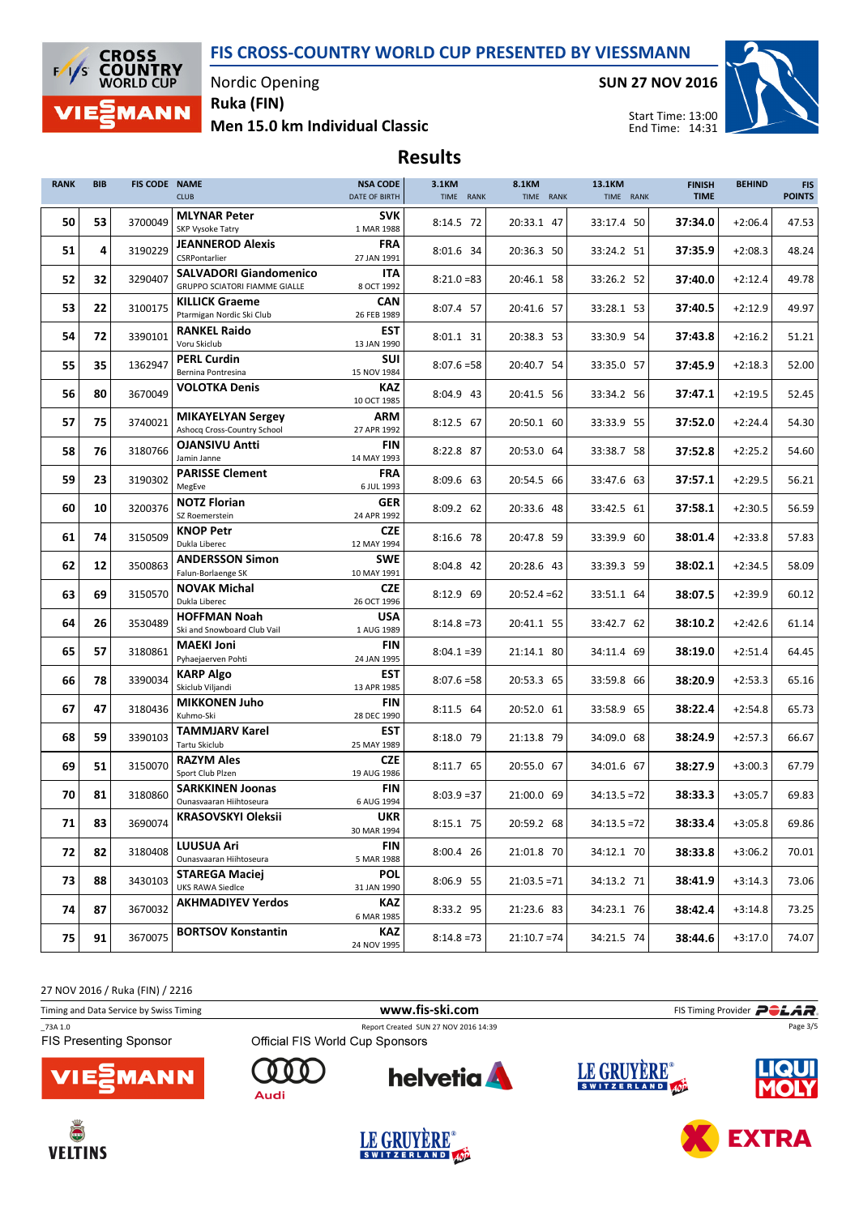

Nordic Opening Ruka (FIN)

Men 15.0 km Individual Classic

SUN 27 NOV 2016



**EXTRA** 

Start Time: 13:00 End Time: 14:31

# Results

| <b>BIB</b> |         | <b>CLUB</b>                                        | <b>NSA CODE</b><br>DATE OF BIRTH                                                                                                                                                 | 3.1KM<br>TIME RANK                                                                                                  | <b>8.1KM</b><br>TIME RANK | 13.1KM       | <b>FINISH</b><br><b>TIME</b> | <b>BEHIND</b> | <b>FIS</b><br><b>POINTS</b> |
|------------|---------|----------------------------------------------------|----------------------------------------------------------------------------------------------------------------------------------------------------------------------------------|---------------------------------------------------------------------------------------------------------------------|---------------------------|--------------|------------------------------|---------------|-----------------------------|
| 53         | 3700049 | <b>MLYNAR Peter</b><br><b>SKP Vysoke Tatry</b>     | <b>SVK</b><br>1 MAR 1988                                                                                                                                                         | 8:14.5 72                                                                                                           | 20:33.1 47                | 33:17.4 50   | 37:34.0                      | $+2:06.4$     | 47.53                       |
| 4          | 3190229 | <b>JEANNEROD Alexis</b>                            | <b>FRA</b>                                                                                                                                                                       | 8:01.6 34                                                                                                           | 20:36.3 50                | 33:24.2 51   | 37:35.9                      | $+2:08.3$     | 48.24                       |
| 32         | 3290407 | <b>SALVADORI Giandomenico</b>                      | ITA                                                                                                                                                                              | $8:21.0=83$                                                                                                         | 20:46.1 58                | 33:26.2 52   | 37:40.0                      | $+2:12.4$     | 49.78                       |
| 22         | 3100175 | <b>KILLICK Graeme</b>                              | <b>CAN</b>                                                                                                                                                                       | 8:07.4 57                                                                                                           | 20:41.6 57                | 33:28.1 53   | 37:40.5                      | $+2:12.9$     | 49.97                       |
| 72         | 3390101 | <b>RANKEL Raido</b>                                | <b>EST</b>                                                                                                                                                                       | 8:01.1 31                                                                                                           | 20:38.3 53                | 33:30.9 54   | 37:43.8                      | $+2:16.2$     | 51.21                       |
| 35         | 1362947 | <b>PERL Curdin</b>                                 | <b>SUI</b>                                                                                                                                                                       | $8:07.6 = 58$                                                                                                       | 20:40.7 54                | 33:35.0 57   | 37:45.9                      | $+2:18.3$     | 52.00                       |
| 80         | 3670049 | <b>VOLOTKA Denis</b>                               | <b>KAZ</b>                                                                                                                                                                       | 8:04.9 43                                                                                                           | 20:41.5 56                | 33:34.2 56   | 37:47.1                      | $+2:19.5$     | 52.45                       |
| 75         | 3740021 | <b>MIKAYELYAN Sergey</b>                           | <b>ARM</b>                                                                                                                                                                       | 8:12.5 67                                                                                                           | 20:50.1 60                | 33:33.9 55   | 37:52.0                      | $+2:24.4$     | 54.30                       |
| 76         | 3180766 | <b>OJANSIVU Antti</b>                              | FIN                                                                                                                                                                              | 8:22.8 87                                                                                                           | 20:53.0 64                | 33:38.7 58   | 37:52.8                      | $+2:25.2$     | 54.60                       |
| 23         | 3190302 | <b>PARISSE Clement</b><br>MegEve                   | <b>FRA</b><br>6 JUL 1993                                                                                                                                                         | 8:09.6 63                                                                                                           | 20:54.5 66                | 33:47.6 63   | 37:57.1                      | $+2:29.5$     | 56.21                       |
| 10         | 3200376 | <b>NOTZ Florian</b><br>SZ Roemerstein              | GER<br>24 APR 1992                                                                                                                                                               | 8:09.2 62                                                                                                           | 20:33.6 48                | 33:42.5 61   | 37:58.1                      | $+2:30.5$     | 56.59                       |
| 74         | 3150509 | <b>KNOP Petr</b><br>Dukla Liberec                  | <b>CZE</b><br>12 MAY 1994                                                                                                                                                        | 8:16.6 78                                                                                                           | 20:47.8 59                | 33:39.9 60   | 38:01.4                      | $+2:33.8$     | 57.83                       |
| 12         | 3500863 | <b>ANDERSSON Simon</b><br>Falun-Borlaenge SK       | <b>SWE</b><br>10 MAY 1991                                                                                                                                                        | 8:04.8 42                                                                                                           | 20:28.6 43                | 33:39.3 59   | 38:02.1                      | $+2:34.5$     | 58.09                       |
| 69         | 3150570 | <b>NOVAK Michal</b><br>Dukla Liberec               | <b>CZE</b><br>26 OCT 1996                                                                                                                                                        | $8:12.9$ 69                                                                                                         | $20:52.4=62$              | 33:51.1 64   | 38:07.5                      | $+2:39.9$     | 60.12                       |
| 26         | 3530489 | <b>HOFFMAN Noah</b><br>Ski and Snowboard Club Vail | <b>USA</b><br>1 AUG 1989                                                                                                                                                         | $8:14.8=73$                                                                                                         | 20:41.1 55                | 33:42.7 62   | 38:10.2                      | $+2:42.6$     | 61.14                       |
| 57         | 3180861 | <b>MAEKI Joni</b><br>Pyhaejaerven Pohti            | FIN<br>24 JAN 1995                                                                                                                                                               | $8:04.1 = 39$                                                                                                       | 21:14.1 80                | 34:11.4 69   | 38:19.0                      | $+2:51.4$     | 64.45                       |
| 78         | 3390034 | <b>KARP Algo</b><br>Skiclub Viljandi               | <b>EST</b><br>13 APR 1985                                                                                                                                                        | $8:07.6 = 58$                                                                                                       | 20:53.3 65                | 33:59.8 66   | 38:20.9                      | $+2:53.3$     | 65.16                       |
| 47         | 3180436 | <b>MIKKONEN Juho</b><br>Kuhmo-Ski                  | <b>FIN</b><br>28 DEC 1990                                                                                                                                                        | 8:11.5 64                                                                                                           | 20:52.0 61                | 33:58.9 65   | 38:22.4                      | $+2:54.8$     | 65.73                       |
| 59         | 3390103 | <b>TAMMJARV Karel</b><br><b>Tartu Skiclub</b>      | <b>EST</b><br>25 MAY 1989                                                                                                                                                        | 8:18.0 79                                                                                                           | 21:13.8 79                | 34:09.0 68   | 38:24.9                      | $+2:57.3$     | 66.67                       |
| 51         | 3150070 | <b>RAZYM Ales</b><br>Sport Club Plzen              | <b>CZE</b><br>19 AUG 1986                                                                                                                                                        | 8:11.7 65                                                                                                           | 20:55.0 67                | 34:01.6 67   | 38:27.9                      | $+3:00.3$     | 67.79                       |
| 81         | 3180860 | <b>SARKKINEN Joonas</b><br>Ounasvaaran Hiihtoseura | <b>FIN</b><br>6 AUG 1994                                                                                                                                                         | $8:03.9 = 37$                                                                                                       | 21:00.0 69                | $34:13.5=72$ | 38:33.3                      | $+3:05.7$     | 69.83                       |
| 83         | 3690074 | <b>KRASOVSKYI Oleksii</b>                          | <b>UKR</b><br>30 MAR 1994                                                                                                                                                        | 8:15.1 75                                                                                                           | 20:59.2 68                | $34:13.5=72$ | 38:33.4                      | $+3:05.8$     | 69.86                       |
| 82         | 3180408 | <b>LUUSUA Ari</b><br>Ounasvaaran Hiihtoseura       | <b>FIN</b><br>5 MAR 1988                                                                                                                                                         | 8:00.4 26                                                                                                           | 21:01.8 70                | 34:12.1 70   | 38:33.8                      | $+3:06.2$     | 70.01                       |
| 88         | 3430103 | <b>STAREGA Maciej</b><br><b>UKS RAWA Siedlce</b>   | <b>POL</b><br>31 JAN 1990                                                                                                                                                        | 8:06.9 55                                                                                                           | $21:03.5 = 71$            | 34:13.2 71   | 38:41.9                      | $+3:14.3$     | 73.06                       |
| 87         | 3670032 | <b>AKHMADIYEV Yerdos</b>                           | KAZ<br>6 MAR 1985                                                                                                                                                                | 8:33.2 95                                                                                                           | 21:23.6 83                | 34:23.1 76   | 38:42.4                      | $+3:14.8$     | 73.25                       |
| 91         | 3670075 | <b>BORTSOV Konstantin</b>                          | KAZ<br>24 NOV 1995                                                                                                                                                               | $8:14.8=73$                                                                                                         | $21:10.7 = 74$            | 34:21.5 74   | 38:44.6                      | $+3:17.0$     | 74.07                       |
|            |         |                                                    | FIS CODE NAME<br>CSRPontarlier<br>GRUPPO SCIATORI FIAMME GIALLE<br>Ptarmigan Nordic Ski Club<br>Voru Skiclub<br>Bernina Pontresina<br>Ashocq Cross-Country School<br>Jamin Janne | 27 JAN 1991<br>8 OCT 1992<br>26 FEB 1989<br>13 JAN 1990<br>15 NOV 1984<br>10 OCT 1985<br>27 APR 1992<br>14 MAY 1993 |                           |              |                              | TIME RANK     |                             |

27 NOV 2016 / Ruka (FIN) / 2216

| Timing and Data Service by Swiss Timing  |                                 | www.fis-ski.com                      | FIS Timing Provider <b>POLAR</b> |              |  |  |  |
|------------------------------------------|---------------------------------|--------------------------------------|----------------------------------|--------------|--|--|--|
| 73A 1.0<br><b>FIS Presenting Sponsor</b> | Official FIS World Cup Sponsors | Report Created SUN 27 NOV 2016 14:39 | Page 3/5                         |              |  |  |  |
| <b>VIE EMANN</b>                         | Audi                            | <b>helvetia</b>                      | LE GRUYÈRE®                      | <b>LIQUI</b> |  |  |  |



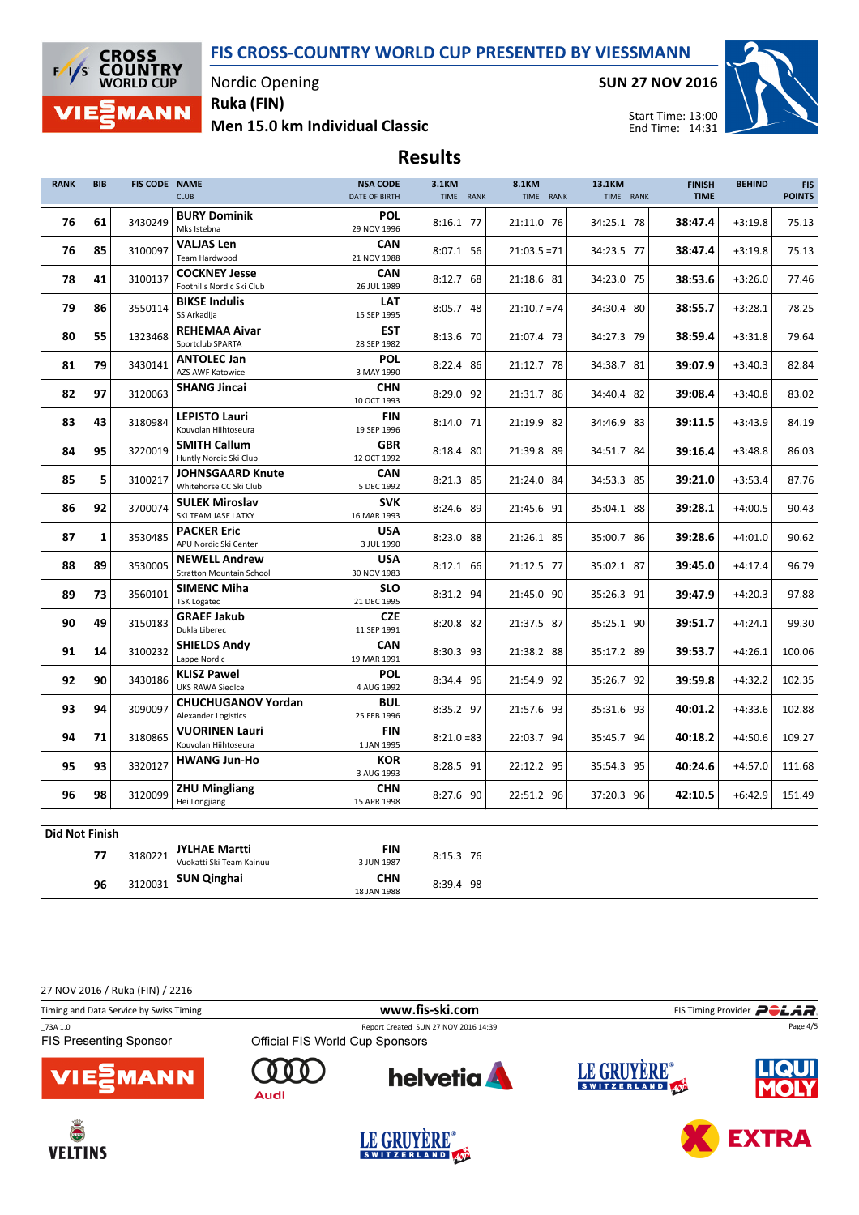

Nordic Opening Ruka (FIN)

Men 15.0 km Individual Classic

SUN 27 NOV 2016



Start Time: 13:00 End Time: 14:31

### Results

| <b>RANK</b>           | <b>BIB</b>   | <b>FIS CODE NAME</b> | <b>CLUB</b>                                             | <b>NSA CODE</b><br>DATE OF BIRTH | 3.1KM<br>TIME RANK | 8.1KM<br>TIME RANK | 13.1KM<br>TIME RANK | <b>FINISH</b><br><b>TIME</b> | <b>BEHIND</b> | <b>FIS</b><br><b>POINTS</b> |
|-----------------------|--------------|----------------------|---------------------------------------------------------|----------------------------------|--------------------|--------------------|---------------------|------------------------------|---------------|-----------------------------|
| 76                    | 61           | 3430249              | <b>BURY Dominik</b><br>Mks Istebna                      | <b>POL</b><br>29 NOV 1996        | 8:16.1 77          | 21:11.0 76         | 34:25.1 78          | 38:47.4                      | $+3:19.8$     | 75.13                       |
| 76                    | 85           | 3100097              | <b>VALJAS Len</b><br><b>Team Hardwood</b>               | <b>CAN</b><br>21 NOV 1988        | 8:07.1 56          | $21:03.5 = 71$     | 34:23.5 77          | 38:47.4                      | $+3:19.8$     | 75.13                       |
| 78                    | 41           | 3100137              | <b>COCKNEY Jesse</b><br>Foothills Nordic Ski Club       | CAN<br>26 JUL 1989               | 8:12.7 68          | 21:18.6 81         | 34:23.0 75          | 38:53.6                      | $+3:26.0$     | 77.46                       |
| 79                    | 86           | 3550114              | <b>BIKSE Indulis</b><br>SS Arkadija                     | LAT<br>15 SEP 1995               | 8:05.7 48          | $21:10.7 = 74$     | 34:30.4 80          | 38:55.7                      | $+3:28.1$     | 78.25                       |
| 80                    | 55           | 1323468              | <b>REHEMAA Aivar</b><br>Sportclub SPARTA                | <b>EST</b><br>28 SEP 1982        | 8:13.6 70          | 21:07.4 73         | 34:27.3 79          | 38:59.4                      | $+3:31.8$     | 79.64                       |
| 81                    | 79           | 3430141              | <b>ANTOLEC Jan</b><br>AZS AWF Katowice                  | POL<br>3 MAY 1990                | 8:22.4 86          | 21:12.7 78         | 34:38.7 81          | 39:07.9                      | $+3:40.3$     | 82.84                       |
| 82                    | 97           | 3120063              | <b>SHANG Jincai</b>                                     | <b>CHN</b><br>10 OCT 1993        | 8:29.0 92          | 21:31.7 86         | 34:40.4 82          | 39:08.4                      | $+3:40.8$     | 83.02                       |
| 83                    | 43           | 3180984              | <b>LEPISTO Lauri</b><br>Kouvolan Hiihtoseura            | <b>FIN</b><br>19 SEP 1996        | 8:14.0 71          | 21:19.9 82         | 34:46.9 83          | 39:11.5                      | $+3:43.9$     | 84.19                       |
| 84                    | 95           | 3220019              | <b>SMITH Callum</b><br>Huntly Nordic Ski Club           | <b>GBR</b><br>12 OCT 1992        | 8:18.4 80          | 21:39.8 89         | 34:51.7 84          | 39:16.4                      | $+3:48.8$     | 86.03                       |
| 85                    | 5            | 3100217              | <b>JOHNSGAARD Knute</b><br>Whitehorse CC Ski Club       | CAN<br>5 DEC 1992                | 8:21.3 85          | 21:24.0 84         | 34:53.3 85          | 39:21.0                      | $+3:53.4$     | 87.76                       |
| 86                    | 92           | 3700074              | <b>SULEK Miroslav</b><br>SKI TEAM JASE LATKY            | <b>SVK</b><br>16 MAR 1993        | 8:24.6 89          | 21:45.6 91         | 35:04.1 88          | 39:28.1                      | $+4:00.5$     | 90.43                       |
| 87                    | $\mathbf{1}$ | 3530485              | <b>PACKER Eric</b><br>APU Nordic Ski Center             | USA<br>3 JUL 1990                | 8:23.0 88          | 21:26.1 85         | 35:00.7 86          | 39:28.6                      | $+4:01.0$     | 90.62                       |
| 88                    | 89           | 3530005              | <b>NEWELL Andrew</b><br><b>Stratton Mountain School</b> | <b>USA</b><br>30 NOV 1983        | 8:12.1 66          | 21:12.5 77         | 35:02.1 87          | 39:45.0                      | $+4:17.4$     | 96.79                       |
| 89                    | 73           | 3560101              | <b>SIMENC Miha</b><br><b>TSK Logatec</b>                | <b>SLO</b><br>21 DEC 1995        | 8:31.2 94          | 21:45.0 90         | 35:26.3 91          | 39:47.9                      | $+4:20.3$     | 97.88                       |
| 90                    | 49           | 3150183              | <b>GRAEF Jakub</b><br>Dukla Liberec                     | <b>CZE</b><br>11 SEP 1991        | 8:20.8 82          | 21:37.5 87         | 35:25.1 90          | 39:51.7                      | $+4:24.1$     | 99.30                       |
| 91                    | 14           | 3100232              | <b>SHIELDS Andy</b><br>Lappe Nordic                     | <b>CAN</b><br>19 MAR 1991        | 8:30.3 93          | 21:38.2 88         | 35:17.2 89          | 39:53.7                      | $+4:26.1$     | 100.06                      |
| 92                    | 90           | 3430186              | <b>KLISZ Pawel</b><br><b>UKS RAWA Siedlce</b>           | <b>POL</b><br>4 AUG 1992         | 8:34.4 96          | 21:54.9 92         | 35:26.7 92          | 39:59.8                      | $+4:32.2$     | 102.35                      |
| 93                    | 94           | 3090097              | <b>CHUCHUGANOV Yordan</b><br><b>Alexander Logistics</b> | <b>BUL</b><br>25 FEB 1996        | 8:35.2 97          | 21:57.6 93         | 35:31.6 93          | 40:01.2                      | $+4:33.6$     | 102.88                      |
| 94                    | 71           | 3180865              | <b>VUORINEN Lauri</b><br>Kouvolan Hiihtoseura           | <b>FIN</b><br>1 JAN 1995         | $8:21.0=83$        | 22:03.7 94         | 35:45.7 94          | 40:18.2                      | $+4:50.6$     | 109.27                      |
| 95                    | 93           | 3320127              | <b>HWANG Jun-Ho</b>                                     | <b>KOR</b><br>3 AUG 1993         | 8:28.5 91          | 22:12.2 95         | 35:54.3 95          | 40:24.6                      | $+4:57.0$     | 111.68                      |
| 96                    | 98           | 3120099              | <b>ZHU Mingliang</b><br>Hei Longjiang                   | <b>CHN</b><br>15 APR 1998        | 8:27.6 90          | 22:51.2 96         | 37:20.3 96          | 42:10.5                      | $+6:42.9$     | 151.49                      |
| <b>Did Not Finish</b> |              |                      |                                                         |                                  |                    |                    |                     |                              |               |                             |
|                       | 77           | 3180221              | <b>JYLHAE Martti</b><br>$-445$ CLC $+2$                 | FIN<br>2.11114027                | 8:15.3 76          |                    |                     |                              |               |                             |

Vuokatti Ski Team K 3 JUN 1987 96 3120031 **SUN Qinghai CHN** 8:39.4 98 18 JAN 1988

27 NOV 2016 / Ruka (FIN) / 2216

Timing and Data Service by Swiss Timing **WWW.fis-Ski.com WWW.fis-Ski.com** FIS Timing Provider **PCLAR** 

**FIS Presenting Sponsor** 

\_73A 1.0 Report Created SUN 27 NOV 2016 14:39











Page 4/5